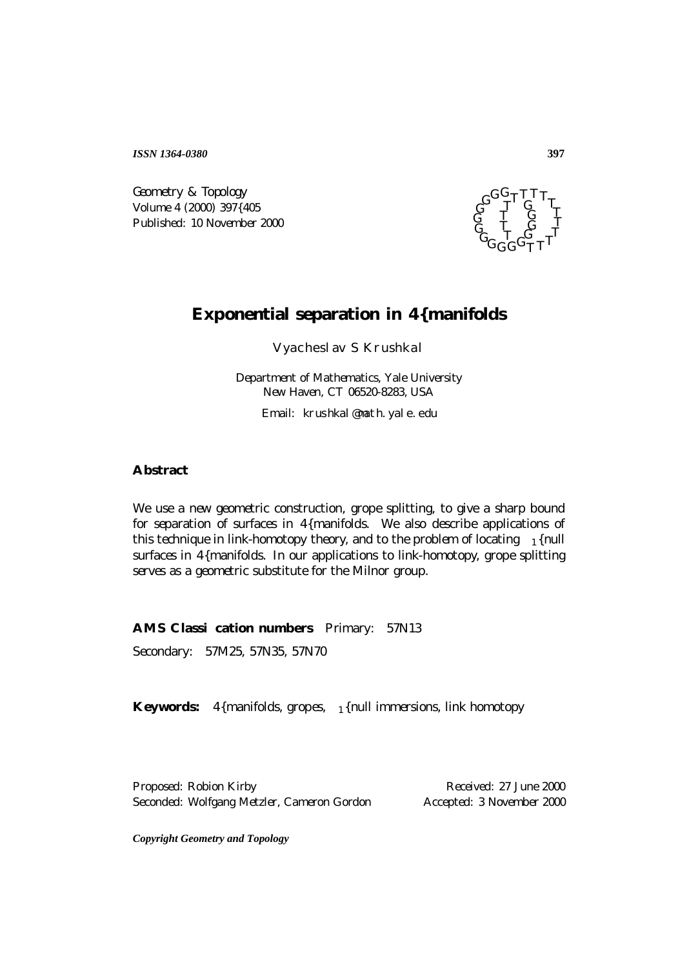*ISSN 1364-0380*

Geometry & Topology Volume 4 (2000) 397{405 Published: 10 November 2000



## **Exponential separation in 4{manifolds**

Vyacheslav S Krushkal

*Department of Mathematics, Yale University New Haven, CT 06520-8283, USA*

Email: krushkal@math.yale.edu

## **Abstract**

We use a new geometric construction, grope splitting, to give a sharp bound for separation of surfaces in 4{manifolds. We also describe applications of this technique in link-homotopy theory, and to the problem of locating  $_1$ {null surfaces in 4{manifolds. In our applications to link-homotopy, grope splitting serves as a geometric substitute for the Milnor group.

**AMS Classication numbers** Primary: 57N13

Secondary: 57M25, 57N35, 57N70

**Keywords:** 4{manifolds, gropes, 1{null immersions, link homotopy

Proposed: Robion Kirby Received: 27 June 2000 Seconded: Wolfgang Metzler, Cameron Gordon Accepted: 3 November 2000

*Copyright Geometry and Topology*

**397**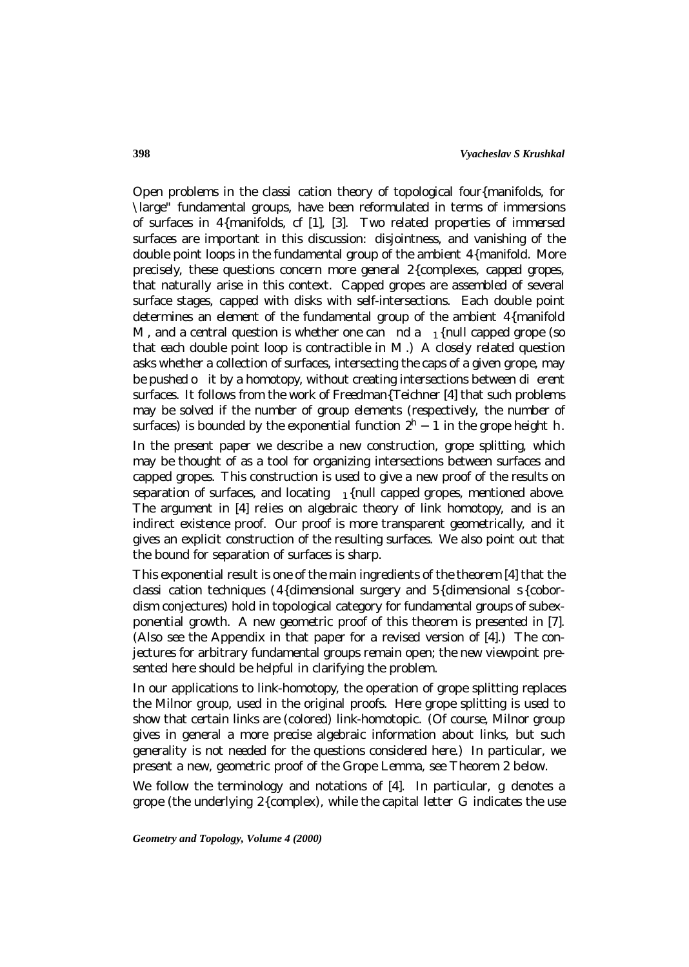Open problems in the classication theory of topological four{manifolds, for \large" fundamental groups, have been reformulated in terms of immersions of surfaces in 4{manifolds, cf [1], [3]. Two related properties of immersed surfaces are important in this discussion: disjointness, and vanishing of the double point loops in the fundamental group of the ambient 4{manifold. More precisely, these questions concern more general 2{complexes, capped gropes, that naturally arise in this context. Capped gropes are assembled of several surface stages, capped with disks with self-intersections. Each double point determines an element of the fundamental group of the ambient 4{manifold M, and a central question is whether one can nd a  $_1$ {null capped grope (so that each double point loop is contractible in  $M$ .) A closely related question asks whether a collection of surfaces, intersecting the caps of a given grope, may be pushed o it by a homotopy, without creating intersections between dierent surfaces. It follows from the work of Freedman{Teichner [4] that such problems may be solved if the number of group elements (respectively, the number of surfaces) is bounded by the exponential function  $2<sup>h</sup> - 1$  in the grope height h.

In the present paper we describe a new construction, *grope splitting*, which may be thought of as a tool for organizing intersections between surfaces and capped gropes. This construction is used to give a new proof of the results on separation of surfaces, and locating  $_1$ {null capped gropes, mentioned above. The argument in [4] relies on algebraic theory of link homotopy, and is an indirect existence proof. Our proof is more transparent geometrically, and it gives an explicit construction of the resulting surfaces. We also point out that the bound for separation of surfaces is sharp.

This exponential result is one of the main ingredients of the theorem [4] that the classi cation techniques (4{dimensional surgery and  $5$ {dimensional s{cobordism conjectures) hold in topological category for fundamental groups of subexponential growth. A new geometric proof of this theorem is presented in [7]. (Also see the Appendix in that paper for a revised version of [4].) The conjectures for arbitrary fundamental groups remain open; the new viewpoint presented here should be helpful in clarifying the problem.

In our applications to link-homotopy, the operation of grope splitting replaces the Milnor group, used in the original proofs. Here grope splitting is used to show that certain links are (colored) link-homotopic. (Of course, Milnor group gives in general a more precise algebraic information about links, but such generality is not needed for the questions considered here.) In particular, we present a new, geometric proof of the Grope Lemma, see Theorem 2 below.

We follow the terminology and notations of  $[4]$ . In particular, g denotes a grope (the underlying  $2$ {complex), while the capital letter  $G$  indicates the use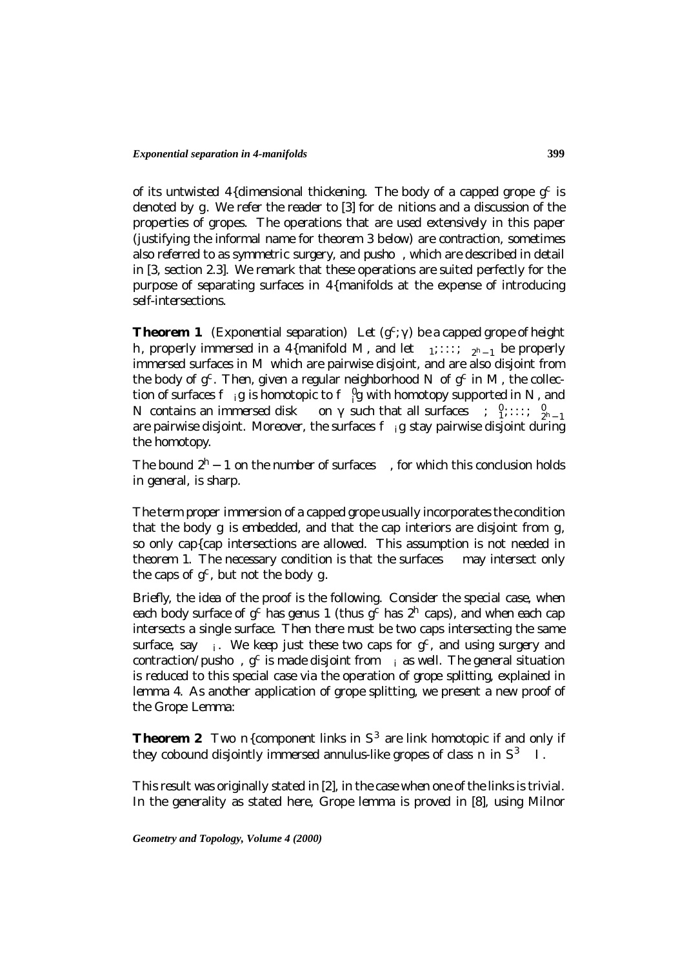of its untwisted 4{dimensional thickening. The body of a capped grope  $g^c$  is denoted by  $q$ . We refer the reader to  $[3]$  for de nitions and a discussion of the properties of gropes. The operations that are used extensively in this paper (justifying the informal name for theorem 3 below) are contraction, sometimes also referred to as *symmetric surgery*, and *pusho*, which are described in detail in [3, section 2.3]. We remark that these operations are suited perfectly for the purpose of separating surfaces in 4{manifolds at the expense of introducing self-intersections.

**Theorem 1** (Exponential separation) Let  $(g^c)$  be a capped grope of height h*, properly immersed in a* 4*{manifold* M *, and let* <sup>1</sup>;:::; <sup>2</sup>h−<sup>1</sup> *be properly immersed surfaces in* M *which are pairwise disjoint, and are also disjoint from the body of*  $q^c$ . Then, given a regular neighborhood N of  $q^c$  in M, the collec*tion of surfaces*  $f$  *ig is homotopic to*  $f \iint g$  with homotopy supported in N, and N contains an immersed disk on such that all surfaces  $\int_{1}^{a} \cdots \int_{2^{h}-1}^{a}$ *are pairwise disjoint. Moreover, the surfaces* f <sup>i</sup>g *stay pairwise disjoint during the homotopy.*

*The bound*  $2<sup>h</sup> - 1$  *on the number of surfaces , for which this conclusion holds in general, is sharp.*

The term *proper immersion* of a capped grope usually incorporates the condition that the body  $q$  is embedded, and that the cap interiors are disjoint from  $q$ , so only cap{cap intersections are allowed. This assumption is not needed in theorem 1. The necessary condition is that the surfaces may intersect only the caps of  $q^c$ , but not the body q.

Briefly, the idea of the proof is the following. Consider the special case, when each body surface of  $g^c$  has genus 1 (thus  $g^c$  has  $2^h$  caps), and when each cap intersects a single surface. Then there must be two caps intersecting the same surface, say *i*. We keep just these two caps for  $g^c$ , and using surgery and contraction/pusho,  $g^c$  is made disjoint from *i* as well. The general situation is reduced to this special case via the operation of grope splitting, explained in lemma 4. As another application of grope splitting, we present a new proof of the Grope Lemma:

**Theorem 2** *Two*  $n$ {component links in  $S<sup>3</sup>$  are link homotopic if and only if *they cobound disjointly immersed annulus-like gropes of class*  $n$  *in*  $S^3$  /.

This result was originally stated in [2], in the case when one of the links is trivial. In the generality as stated here, Grope lemma is proved in [8], using Milnor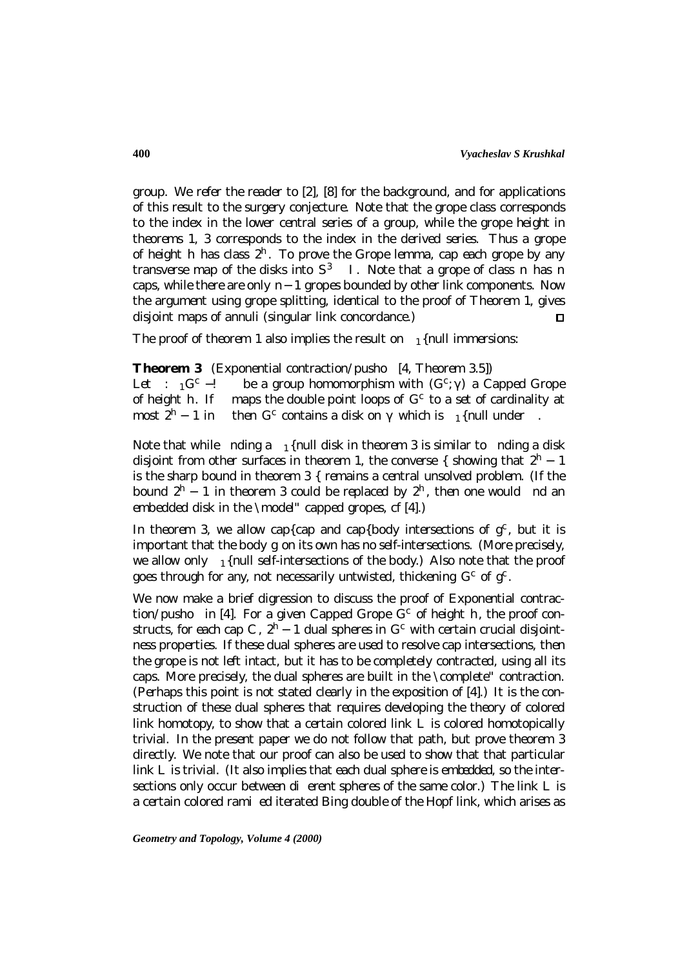group. We refer the reader to [2], [8] for the background, and for applications of this result to the surgery conjecture. Note that the grope class corresponds to the index in the lower central series of a group, while the grope height in theorems 1, 3 corresponds to the index in the derived series. Thus a grope of height h has class  $2<sup>h</sup>$ . To prove the Grope lemma, cap each grope by any transverse map of the disks into  $S^3$  /. Note that a grope of class n has n caps, while there are only  $n-1$  gropes bounded by other link components. Now the argument using grope splitting, identical to the proof of Theorem 1, gives disjoint maps of annuli (singular link concordance.)  $\mathbf{\mathsf{m}}$ 

The proof of theorem 1 also implies the result on  $_1$ {null immersions:

**Theorem 3** (Exponential contraction/pusho [4, Theorem 3.5]) *Let* :  ${}_{1}G^{c} -!$  *be a group homomorphism with*  $(G^{c})$  *a Capped Grope of height h. If maps the double point loops of*  $G^{c}$  *to a set of cardinality at of height h.* If maps the double point loops of  $G^c$  to a set of cardinality at most  $2^h - 1$  in then  $G^c$  contains a disk on which is  $\frac{1}{h}$  full under. *then*  $G^c$  *contains a disk on which is* 1 *{null under* 

Note that while nding a  $_1$ {null disk in theorem 3 is similar to nding a disk disjoint from other surfaces in theorem 1, the converse { showing that  $2<sup>h</sup> - 1$ is the sharp bound in theorem  $3 \{$  remains a central unsolved problem. (If the bound  $2<sup>h</sup> - 1$  in theorem 3 could be replaced by  $2<sup>h</sup>$ , then one would nd an embedded disk in the \model" capped gropes, cf [4].)

In theorem 3, we allow cap{cap and cap{body intersections of  $g<sup>c</sup>$ , but it is important that the body  $g$  on its own has no self-intersections. (More precisely, we allow only  $_1$  {null self-intersections of the body.) Also note that the proof goes through for any, not necessarily untwisted, thickening  $G^c$  of  $g^c$ .

We now make a brief digression to discuss the proof of Exponential contraction/pusho in [4]. For a given Capped Grope  $G<sup>c</sup>$  of height h, the proof constructs, for each cap C,  $2<sup>h</sup> - 1$  dual spheres in  $G<sup>c</sup>$  with certain crucial disjointness properties. If these dual spheres are used to resolve cap intersections, then the grope is not left intact, but it has to be completely contracted, using all its caps. More precisely, the dual spheres are built in the \complete" contraction. (Perhaps this point is not stated clearly in the exposition of [4].) It is the construction of these dual spheres that requires developing the theory of colored link homotopy, to show that a certain colored link  $\mathcal L$  is colored homotopically trivial. In the present paper we do not follow that path, but prove theorem 3 directly. We note that our proof can also be used to show that that particular link  $L$  is trivial. (It also implies that each dual sphere is *embedded*, so the intersections only occur between  $di$  erent spheres of the same color.) The link  $L$  is a certain colored rami ed iterated Bing double of the Hopf link, which arises as

*Geometry and Topology, Volume 4 (2000)*

**400**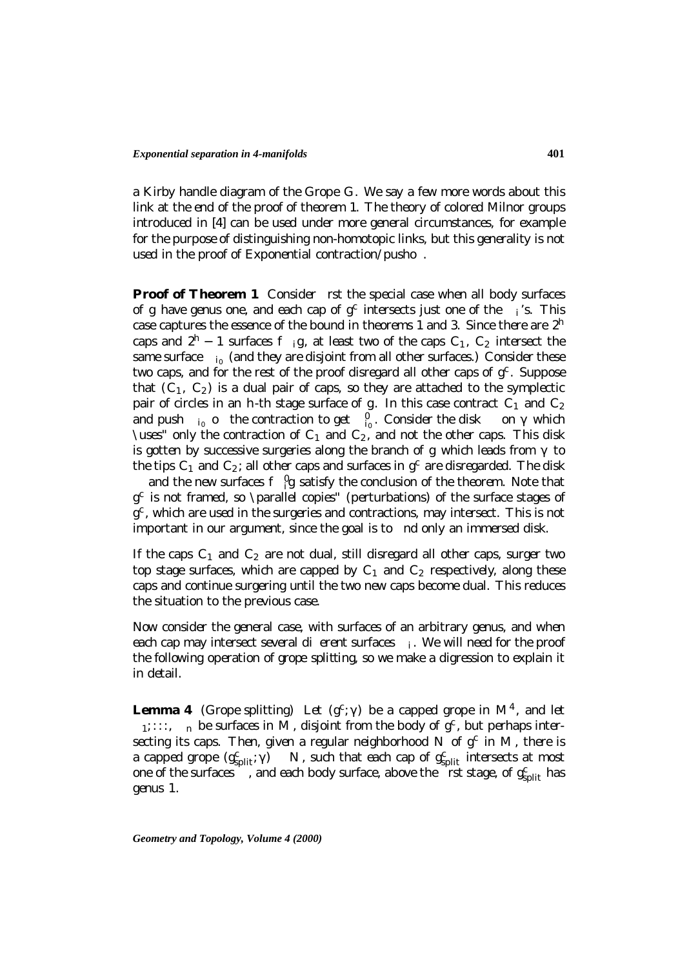a Kirby handle diagram of the Grope G. We say a few more words about this link at the end of the proof of theorem 1. The theory of colored Milnor groups introduced in [4] can be used under more general circumstances, for example for the purpose of distinguishing non-homotopic links, but this generality is not used in the proof of Exponential contraction/pusho.

**Proof of Theorem 1** Consider rst the special case when all body surfaces of g have genus one, and each cap of  $g^c$  intersects just one of the *i*'s. This case captures the essence of the bound in theorems 1 and 3. Since there are  $2<sup>h</sup>$ caps and  $2^h$  − 1 surfaces f ig, at least two of the caps  $C_1$ ,  $C_2$  intersect the same surface  $i_0$  (and they are disjoint from all other surfaces.) Consider these two caps, and for the rest of the proof disregard all other caps of  $g<sup>c</sup>$ . Suppose that  $(C_1, C_2)$  is a dual pair of caps, so they are attached to the symplectic pair of circles in an h-th stage surface of g. In this case contract  $C_1$  and  $C_2$ and push  $i_0$  o the contraction to get  $\int_{0}^{0}$ . Consider the disk on which \uses" only the contraction of  $C_1$  and  $C_2$ , and not the other caps. This disk is gotten by successive surgeries along the branch of  $g$  which leads from to the tips  $C_1$  and  $C_2$ ; all other caps and surfaces in  $g^c$  are disregarded. The disk and the new surfaces  $f \theta g$  satisfy the conclusion of the theorem. Note that  $g^c$  is not framed, so \parallel copies" (perturbations) of the surface stages of  $g<sup>c</sup>$ , which are used in the surgeries and contractions, may intersect. This is not important in our argument, since the goal is to nd only an immersed disk.

If the caps  $C_1$  and  $C_2$  are not dual, still disregard all other caps, surger two top stage surfaces, which are capped by  $C_1$  and  $C_2$  respectively, along these caps and continue surgering until the two new caps become dual. This reduces the situation to the previous case.

Now consider the general case, with surfaces of an arbitrary genus, and when each cap may intersect several dierent surfaces  $i$ . We will need for the proof the following operation of *grope splitting*, so we make a digression to explain it in detail.

**Lemma 4** (Grope splitting) Let  $(g^c)$  be a capped grope in  $\mathbb{M}^4$ , and let  $1$ *;:::,*  $\theta$  *n be surfaces in M, disjoint from the body of*  $g^c$ *, but perhaps intersecting its caps. Then, given a regular neighborhood* N of  $g^c$  *in* M, there *is a capped grope*  $(g_{split}^c)$  N, such that each cap of  $g_{split}^c$  intersects at most one of the surfaces  $\overline{\phantom{a}}$ , and each body surface, above the  $\overline{\phantom{a}}$  rst stage, of  $g_{\text{split}}^c$  has *genus* 1*.*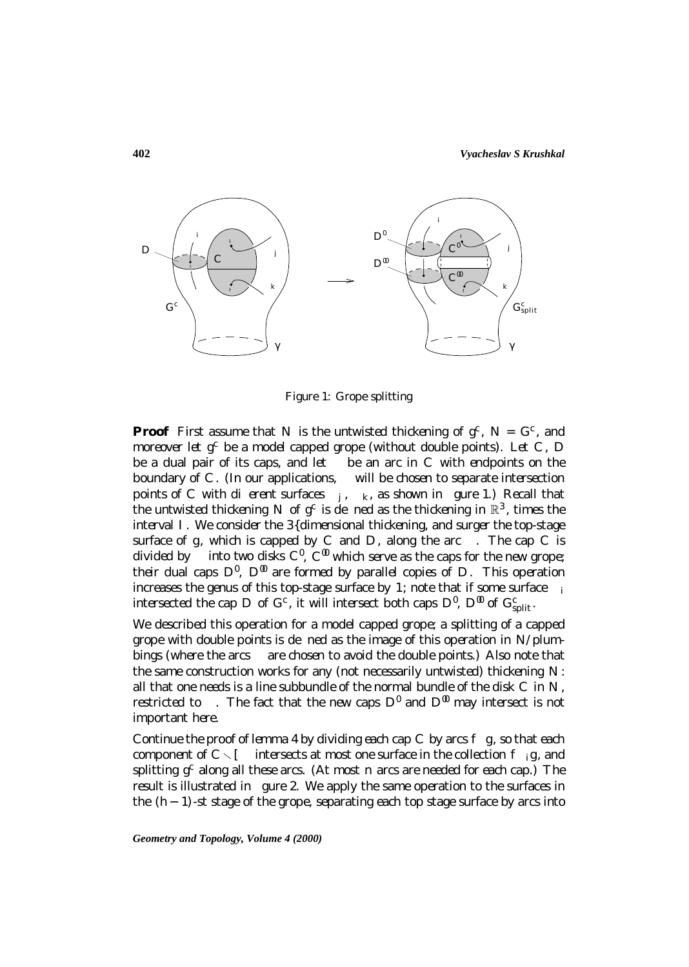

Figure 1: Grope splitting

**Proof** First assume that N is the untwisted thickening of  $q^c$ ,  $N = G^c$ , and moreover let  $q^c$  be a model capped grope (without double points). Let C, D be a dual pair of its caps, and let be an arc in  $C$  with endpoints on the boundary of  $C$ . (In our applications, will be chosen to separate intersection points of C with dierent surfaces  $\mu$ ,  $\mu$ , as shown in gure 1.) Recall that the untwisted thickening N of  $g^c$  is de ned as the thickening in  $\mathbb{R}^3$ , times the interval  $I$ . We consider the  $3$ {dimensional thickening, and surger the top-stage surface of  $g$ , which is capped by  $C$  and  $D$ , along the arc  $\therefore$  The cap  $C$  is divided by into two disks  $C^{\ell}$ ,  $C^{\ell\ell}$  which serve as the caps for the new grope; their dual caps  $D^{\theta}$ ,  $D^{\theta\theta}$  are formed by parallel copies of D. This operation increases the genus of this top-stage surface by 1; note that if some surface  $i$ intersected the cap D of  $G^c$ , it will intersect both caps  $D^{\theta}$ ,  $D^{\theta\theta}$  of  $G^c_{\text{split}}$ .

We described this operation for a model capped grope; a splitting of a capped grope with double points is de ned as the image of this operation in  $N$ /plumbings (where the arcs are chosen to avoid the double points.) Also note that the same construction works for any (not necessarily untwisted) thickening  $N$ : all that one needs is a line subbundle of the normal bundle of the disk  $C$  in  $N$ , restricted to . The fact that the new caps  $D^{\emptyset}$  and  $D^{\emptyset}$  may intersect is not important here.

Continue the proof of lemma 4 by dividing each cap  $C$  by arcs  $f$   $g$ , so that each component of  $C \setminus I$  intersects at most one surface in the collection  $f_{ij}g$ , and splitting  $q^c$  along all these arcs. (At most *n* arcs are needed for each cap.) The result is illustrated in gure 2. We apply the same operation to the surfaces in the  $(h-1)$ -st stage of the grope, separating each top stage surface by arcs into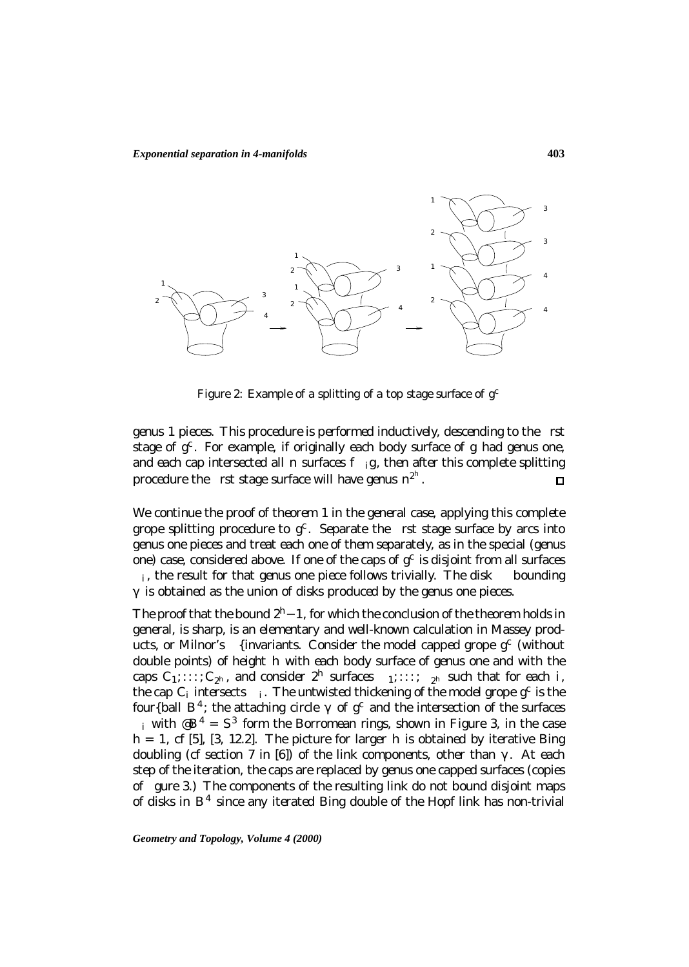

Figure 2: Example of a splitting of a top stage surface of  $q^c$ 

genus 1 pieces. This procedure is performed inductively, descending to the rst stage of  $q^c$ . For example, if originally each body surface of q had genus one, and each cap intersected all  $n$  surfaces  $f_{ij}$ , then after this complete splitting procedure the rst stage surface will have genus  $n^{2^h}$ .

We continue the proof of theorem 1 in the general case, applying this complete grope splitting procedure to  $g^c$ . Separate the rst stage surface by arcs into genus one pieces and treat each one of them separately, as in the special (genus one) case, considered above. If one of the caps of  $g^c$  is disjoint from all surfaces  $i$ , the result for that genus one piece follows trivially. The disk bounding is obtained as the union of disks produced by the genus one pieces.

The proof that the bound  $2<sup>h</sup>$  –1, for which the conclusion of the theorem holds in general, is sharp, is an elementary and well-known calculation in Massey products, or Milnor's {invariants. Consider the model capped grope  $g^c$  (without double points) of height  $h$  with each body surface of genus one and with the caps  $C_1$ ;:::;  $C_{2^h}$ , and consider  $2^h$  surfaces  $\frac{1}{1}$ ;:::;  $\frac{1}{2^h}$  such that for each *i*, the cap  $C_i$  intersects  $i$ . The untwisted thickening of the model grope  $g^c$  is the four{ball  $B^4$ ; the attaching circle of  $g^c$  and the intersection of the surfaces *i* with  $\mathcal{B}^4 = S^3$  form the Borromean rings, shown in Figure 3, in the case  $h = 1$ , cf [5], [3, 12.2]. The picture for larger h is obtained by iterative Bing doubling (cf section 7 in [6]) of the link components, other than . At each step of the iteration, the caps are replaced by genus one capped surfaces (copies of gure 3.) The components of the resulting link do not bound disjoint maps of disks in  $B<sup>4</sup>$  since any iterated Bing double of the Hopf link has non-trivial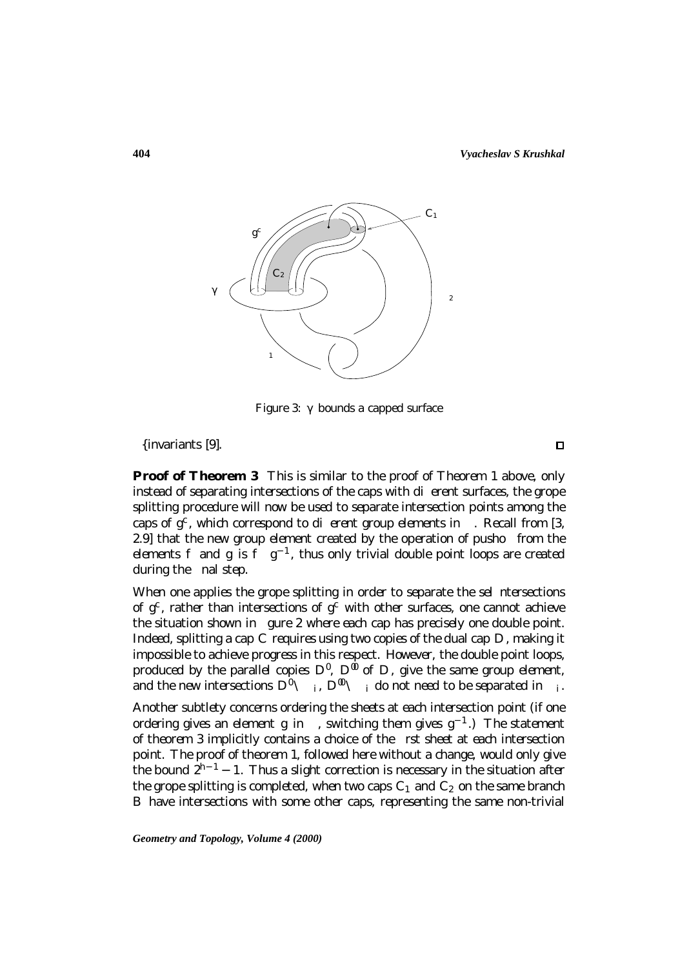

Figure 3: bounds a capped surface

{invariants [9].

**Proof of Theorem 3** This is similar to the proof of Theorem 1 above, only instead of separating intersections of the caps with dierent surfaces, the grope splitting procedure will now be used to separate intersection points among the caps of  $q^c$ , which correspond to dierent group elements in . Recall from [3, 2.9] that the new group element created by the operation of pusho from the elements f and g is f  $g^{-1}$ , thus only trivial double point loops are created during the nal step.

When one applies the grope splitting in order to separate the sel ntersections of  $g^c$ , rather than intersections of  $g^c$  with other surfaces, one cannot achieve the situation shown in gure 2 where each cap has precisely one double point. Indeed, splitting a cap  $C$  requires using two copies of the dual cap  $D$ , making it impossible to achieve progress in this respect. However, the double point loops, produced by the parallel copies  $D^{\ell}$ ,  $D^{\ell\ell}$  of D, give the same group element, and the new intersections  $D^{\emptyset} \setminus i$ ,  $D^{\emptyset\emptyset} \setminus i$  do not need to be separated in i.

Another subtlety concerns ordering the sheets at each intersection point (if one ordering gives an element q in, switching them gives  $q^{-1}$ .) The statement of theorem 3 implicitly contains a choice of the rst sheet at each intersection point. The proof of theorem 1, followed here without a change, would only give the bound  $2^{h-1}$  − 1. Thus a slight correction is necessary in the situation after the grope splitting is completed, when two caps  $C_1$  and  $C_2$  on the same branch B have intersections with some other caps, representing the same non-trivial

*Geometry and Topology, Volume 4 (2000)*

 $\Box$